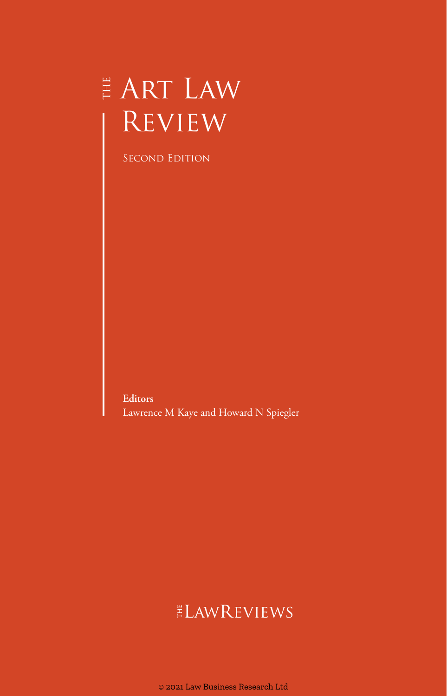# $\overset{\scriptscriptstyle \mathrm{H}}{\mathsf{F}}$  ART LAW **REVIEW**

Second Edition

**Editors** Lawrence M Kaye and Howard N Spiegler

# ELAWREVIEWS

© 2021 Law Business Research Ltd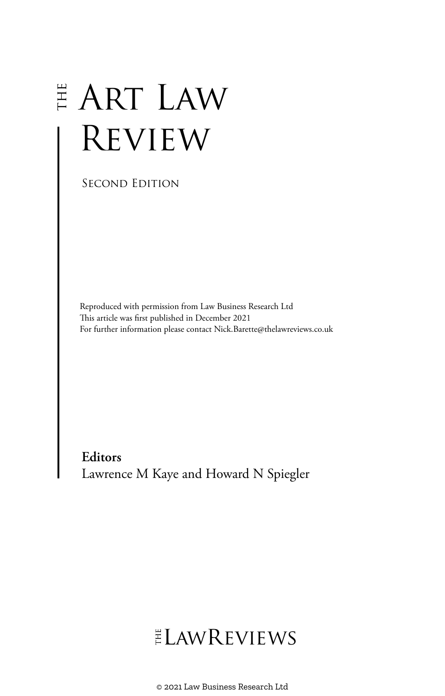# $\overset{\scriptscriptstyle \mathrm{H}}{\scriptscriptstyle \mathrm{F}}$  ART LAW Review

Second Edition

Reproduced with permission from Law Business Research Ltd This article was first published in December 2021 For further information please contact Nick.Barette@thelawreviews.co.uk

**Editors** Lawrence M Kaye and Howard N Spiegler

# ELAWREVIEWS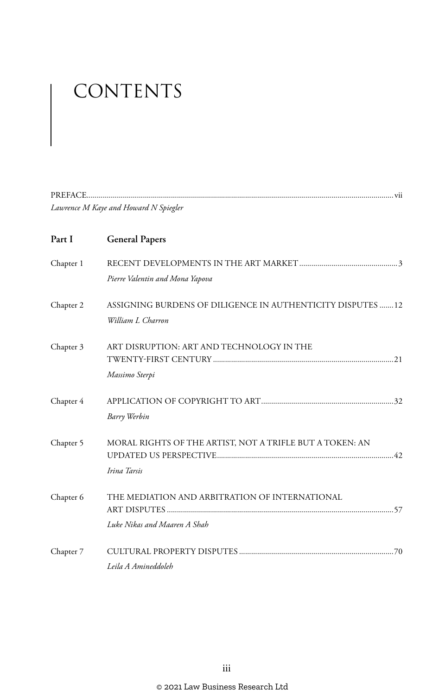# CONTENTS

|           | Lawrence M Kaye and Howard N Spiegler                                           |
|-----------|---------------------------------------------------------------------------------|
| Part I    | <b>General Papers</b>                                                           |
| Chapter 1 | Pierre Valentin and Mona Yapova                                                 |
| Chapter 2 | ASSIGNING BURDENS OF DILIGENCE IN AUTHENTICITY DISPUTES 12<br>William L Charron |
| Chapter 3 | ART DISRUPTION: ART AND TECHNOLOGY IN THE<br>Massimo Sterpi                     |
| Chapter 4 | Barry Werbin                                                                    |
| Chapter 5 | MORAL RIGHTS OF THE ARTIST, NOT A TRIFLE BUT A TOKEN: AN<br>Irina Tarsis        |
| Chapter 6 | THE MEDIATION AND ARBITRATION OF INTERNATIONAL<br>Luke Nikas and Maaren A Shah  |
| Chapter 7 | Leila A Amineddoleh                                                             |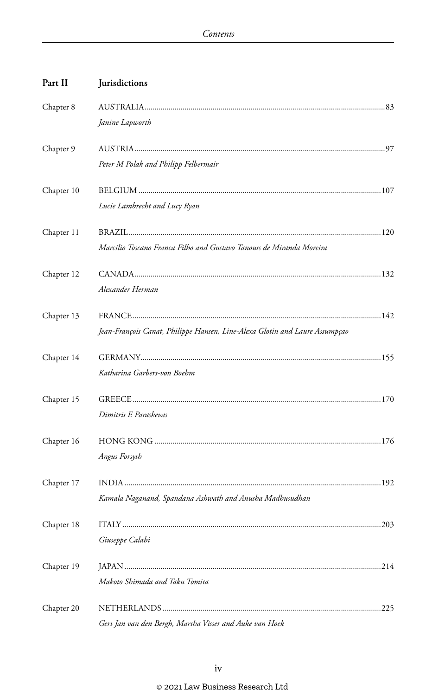| Part II    | Jurisdictions                                                               |     |
|------------|-----------------------------------------------------------------------------|-----|
| Chapter 8  |                                                                             |     |
|            | Janine Lapworth                                                             |     |
| Chapter 9  |                                                                             |     |
|            | Peter M Polak and Philipp Felbermair                                        |     |
| Chapter 10 |                                                                             |     |
|            | Lucie Lambrecht and Lucy Ryan                                               |     |
| Chapter 11 |                                                                             |     |
|            | Marcílio Toscano Franca Filho and Gustavo Tanouss de Miranda Moreira        |     |
| Chapter 12 |                                                                             |     |
|            | Alexander Herman                                                            |     |
| Chapter 13 |                                                                             |     |
|            | Jean-François Canat, Philippe Hansen, Line-Alexa Glotin and Laure Assumpçao |     |
| Chapter 14 |                                                                             |     |
|            | Katharina Garbers-von Boehm                                                 |     |
| Chapter 15 |                                                                             |     |
|            | Dimitris E Paraskevas                                                       |     |
| Chapter 16 |                                                                             |     |
|            | Angus Forsyth                                                               |     |
| Chapter 17 |                                                                             |     |
|            | Kamala Naganand, Spandana Ashwath and Anusha Madhusudhan                    |     |
| Chapter 18 |                                                                             | 203 |
|            | Giuseppe Calabi                                                             |     |
| Chapter 19 |                                                                             |     |
|            | Makoto Shimada and Taku Tomita                                              |     |
| Chapter 20 |                                                                             |     |
|            | Gert Jan van den Bergh, Martha Visser and Auke van Hoek                     |     |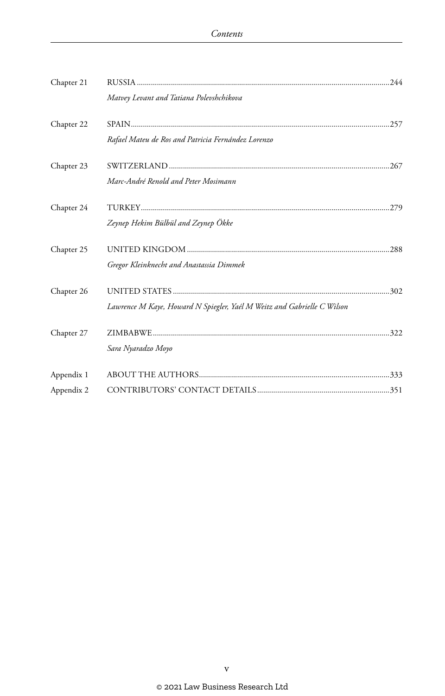| Chapter 21               | Matvey Levant and Tatiana Polevshchikova                                |  |
|--------------------------|-------------------------------------------------------------------------|--|
| Chapter 22               | Rafael Mateu de Ros and Patricia Fernández Lorenzo                      |  |
| Chapter 23               | Marc-André Renold and Peter Mosimann                                    |  |
| Chapter 24               | Zeynep Hekim Bülbül and Zeynep Ökke                                     |  |
| Chapter 25               | Gregor Kleinknecht and Anastassia Dimmek                                |  |
| Chapter 26               | Lawrence M Kaye, Howard N Spiegler, Yaél M Weitz and Gabrielle C Wilson |  |
| Chapter 27               | Sara Nyaradzo Moyo                                                      |  |
| Appendix 1<br>Appendix 2 |                                                                         |  |
|                          |                                                                         |  |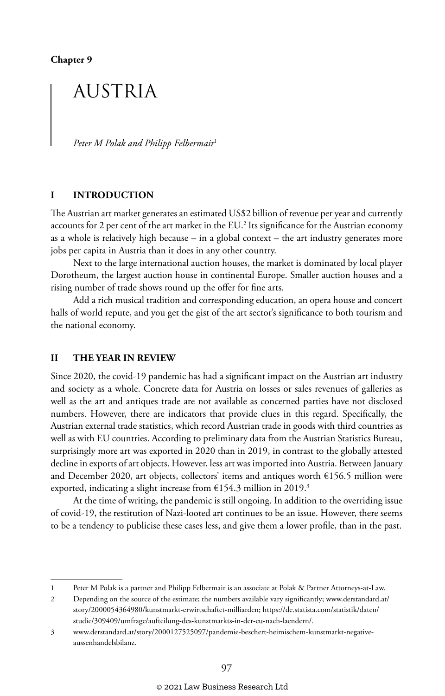**Chapter 9**

## AUSTRIA

*Peter M Polak and Philipp Felbermair*<sup>1</sup>

#### **I INTRODUCTION**

The Austrian art market generates an estimated US\$2 billion of revenue per year and currently accounts for 2 per cent of the art market in the EU.<sup>2</sup> Its significance for the Austrian economy as a whole is relatively high because – in a global context – the art industry generates more jobs per capita in Austria than it does in any other country.

Next to the large international auction houses, the market is dominated by local player Dorotheum, the largest auction house in continental Europe. Smaller auction houses and a rising number of trade shows round up the offer for fine arts.

Add a rich musical tradition and corresponding education, an opera house and concert halls of world repute, and you get the gist of the art sector's significance to both tourism and the national economy.

#### **II THE YEAR IN REVIEW**

Since 2020, the covid-19 pandemic has had a significant impact on the Austrian art industry and society as a whole. Concrete data for Austria on losses or sales revenues of galleries as well as the art and antiques trade are not available as concerned parties have not disclosed numbers. However, there are indicators that provide clues in this regard. Specifically, the Austrian external trade statistics, which record Austrian trade in goods with third countries as well as with EU countries. According to preliminary data from the Austrian Statistics Bureau, surprisingly more art was exported in 2020 than in 2019, in contrast to the globally attested decline in exports of art objects. However, less art was imported into Austria. Between January and December 2020, art objects, collectors' items and antiques worth  $£156.5$  million were exported, indicating a slight increase from  $£154.3$  million in 2019.<sup>3</sup>

At the time of writing, the pandemic is still ongoing. In addition to the overriding issue of covid-19, the restitution of Nazi-looted art continues to be an issue. However, there seems to be a tendency to publicise these cases less, and give them a lower profile, than in the past.

2 Depending on the source of the estimate; the numbers available vary significantly; www.derstandard.at/ story/2000054364980/kunstmarkt-erwirtschaftet-milliarden; https://de.statista.com/statistik/daten/ studie/309409/umfrage/aufteilung-des-kunstmarkts-in-der-eu-nach-laendern/.

<sup>1</sup> Peter M Polak is a partner and Philipp Felbermair is an associate at Polak & Partner Attorneys-at-Law.

<sup>3</sup> www.derstandard.at/story/2000127525097/pandemie-beschert-heimischem-kunstmarkt-negativeaussenhandelsbilanz.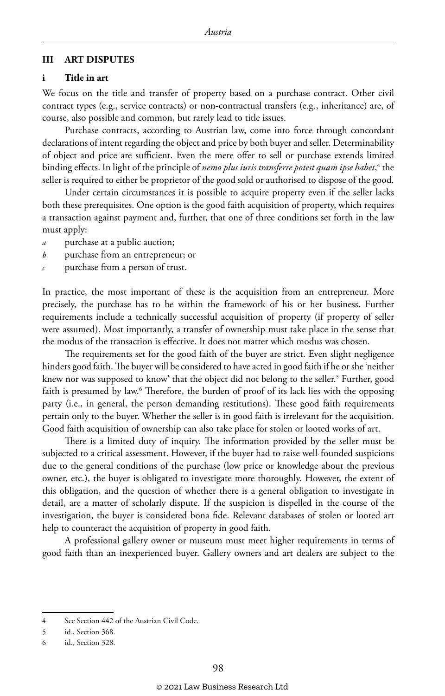#### **III ART DISPUTES**

#### **i Title in art**

We focus on the title and transfer of property based on a purchase contract. Other civil contract types (e.g., service contracts) or non-contractual transfers (e.g., inheritance) are, of course, also possible and common, but rarely lead to title issues.

Purchase contracts, according to Austrian law, come into force through concordant declarations of intent regarding the object and price by both buyer and seller. Determinability of object and price are sufficient. Even the mere offer to sell or purchase extends limited binding effects. In light of the principle of *nemo plus iuris transferre potest quam ipse habet*,<sup>4</sup> the seller is required to either be proprietor of the good sold or authorised to dispose of the good.

Under certain circumstances it is possible to acquire property even if the seller lacks both these prerequisites. One option is the good faith acquisition of property, which requires a transaction against payment and, further, that one of three conditions set forth in the law must apply:

- *a* purchase at a public auction;
- *b* purchase from an entrepreneur; or
- *c* purchase from a person of trust.

In practice, the most important of these is the acquisition from an entrepreneur. More precisely, the purchase has to be within the framework of his or her business. Further requirements include a technically successful acquisition of property (if property of seller were assumed). Most importantly, a transfer of ownership must take place in the sense that the modus of the transaction is effective. It does not matter which modus was chosen.

The requirements set for the good faith of the buyer are strict. Even slight negligence hinders good faith. The buyer will be considered to have acted in good faith if he or she 'neither knew nor was supposed to know' that the object did not belong to the seller.<sup>5</sup> Further, good faith is presumed by law.6 Therefore, the burden of proof of its lack lies with the opposing party (i.e., in general, the person demanding restitutions). These good faith requirements pertain only to the buyer. Whether the seller is in good faith is irrelevant for the acquisition. Good faith acquisition of ownership can also take place for stolen or looted works of art.

There is a limited duty of inquiry. The information provided by the seller must be subjected to a critical assessment. However, if the buyer had to raise well-founded suspicions due to the general conditions of the purchase (low price or knowledge about the previous owner, etc.), the buyer is obligated to investigate more thoroughly. However, the extent of this obligation, and the question of whether there is a general obligation to investigate in detail, are a matter of scholarly dispute. If the suspicion is dispelled in the course of the investigation, the buyer is considered bona fide. Relevant databases of stolen or looted art help to counteract the acquisition of property in good faith.

A professional gallery owner or museum must meet higher requirements in terms of good faith than an inexperienced buyer. Gallery owners and art dealers are subject to the

<sup>4</sup> See Section 442 of the Austrian Civil Code.

<sup>5</sup> id., Section 368.

<sup>6</sup> id., Section 328.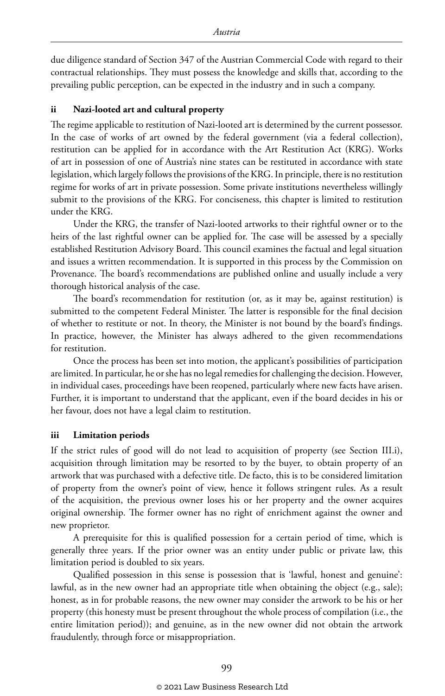due diligence standard of Section 347 of the Austrian Commercial Code with regard to their contractual relationships. They must possess the knowledge and skills that, according to the prevailing public perception, can be expected in the industry and in such a company.

#### **ii Nazi-looted art and cultural property**

The regime applicable to restitution of Nazi-looted art is determined by the current possessor. In the case of works of art owned by the federal government (via a federal collection), restitution can be applied for in accordance with the Art Restitution Act (KRG). Works of art in possession of one of Austria's nine states can be restituted in accordance with state legislation, which largely follows the provisions of the KRG. In principle, there is no restitution regime for works of art in private possession. Some private institutions nevertheless willingly submit to the provisions of the KRG. For conciseness, this chapter is limited to restitution under the KRG.

Under the KRG, the transfer of Nazi-looted artworks to their rightful owner or to the heirs of the last rightful owner can be applied for. The case will be assessed by a specially established Restitution Advisory Board. This council examines the factual and legal situation and issues a written recommendation. It is supported in this process by the Commission on Provenance. The board's recommendations are published online and usually include a very thorough historical analysis of the case.

The board's recommendation for restitution (or, as it may be, against restitution) is submitted to the competent Federal Minister. The latter is responsible for the final decision of whether to restitute or not. In theory, the Minister is not bound by the board's findings. In practice, however, the Minister has always adhered to the given recommendations for restitution.

Once the process has been set into motion, the applicant's possibilities of participation are limited. In particular, he or she has no legal remedies for challenging the decision. However, in individual cases, proceedings have been reopened, particularly where new facts have arisen. Further, it is important to understand that the applicant, even if the board decides in his or her favour, does not have a legal claim to restitution.

#### **iii Limitation periods**

If the strict rules of good will do not lead to acquisition of property (see Section III.i), acquisition through limitation may be resorted to by the buyer, to obtain property of an artwork that was purchased with a defective title. De facto, this is to be considered limitation of property from the owner's point of view, hence it follows stringent rules. As a result of the acquisition, the previous owner loses his or her property and the owner acquires original ownership. The former owner has no right of enrichment against the owner and new proprietor.

A prerequisite for this is qualified possession for a certain period of time, which is generally three years. If the prior owner was an entity under public or private law, this limitation period is doubled to six years.

Qualified possession in this sense is possession that is 'lawful, honest and genuine': lawful, as in the new owner had an appropriate title when obtaining the object (e.g., sale); honest, as in for probable reasons, the new owner may consider the artwork to be his or her property (this honesty must be present throughout the whole process of compilation (i.e., the entire limitation period)); and genuine, as in the new owner did not obtain the artwork fraudulently, through force or misappropriation.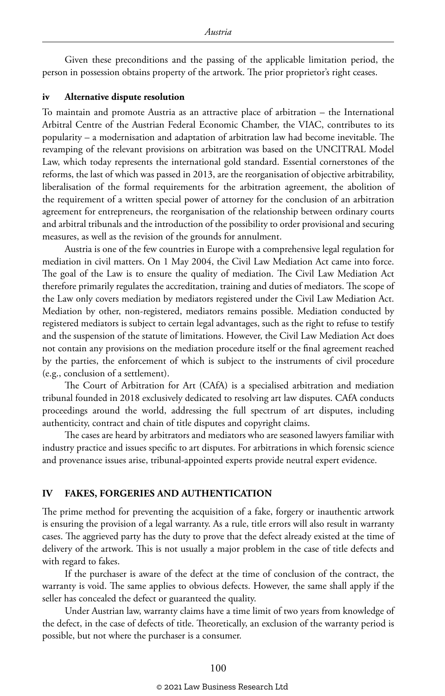Given these preconditions and the passing of the applicable limitation period, the person in possession obtains property of the artwork. The prior proprietor's right ceases.

#### **iv Alternative dispute resolution**

To maintain and promote Austria as an attractive place of arbitration – the International Arbitral Centre of the Austrian Federal Economic Chamber, the VIAC, contributes to its popularity – a modernisation and adaptation of arbitration law had become inevitable. The revamping of the relevant provisions on arbitration was based on the UNCITRAL Model Law, which today represents the international gold standard. Essential cornerstones of the reforms, the last of which was passed in 2013, are the reorganisation of objective arbitrability, liberalisation of the formal requirements for the arbitration agreement, the abolition of the requirement of a written special power of attorney for the conclusion of an arbitration agreement for entrepreneurs, the reorganisation of the relationship between ordinary courts and arbitral tribunals and the introduction of the possibility to order provisional and securing measures, as well as the revision of the grounds for annulment.

Austria is one of the few countries in Europe with a comprehensive legal regulation for mediation in civil matters. On 1 May 2004, the Civil Law Mediation Act came into force. The goal of the Law is to ensure the quality of mediation. The Civil Law Mediation Act therefore primarily regulates the accreditation, training and duties of mediators. The scope of the Law only covers mediation by mediators registered under the Civil Law Mediation Act. Mediation by other, non-registered, mediators remains possible. Mediation conducted by registered mediators is subject to certain legal advantages, such as the right to refuse to testify and the suspension of the statute of limitations. However, the Civil Law Mediation Act does not contain any provisions on the mediation procedure itself or the final agreement reached by the parties, the enforcement of which is subject to the instruments of civil procedure (e.g., conclusion of a settlement).

The Court of Arbitration for Art (CAfA) is a specialised arbitration and mediation tribunal founded in 2018 exclusively dedicated to resolving art law disputes. CAfA conducts proceedings around the world, addressing the full spectrum of art disputes, including authenticity, contract and chain of title disputes and copyright claims.

The cases are heard by arbitrators and mediators who are seasoned lawyers familiar with industry practice and issues specific to art disputes. For arbitrations in which forensic science and provenance issues arise, tribunal-appointed experts provide neutral expert evidence.

#### **IV FAKES, FORGERIES AND AUTHENTICATION**

The prime method for preventing the acquisition of a fake, forgery or inauthentic artwork is ensuring the provision of a legal warranty. As a rule, title errors will also result in warranty cases. The aggrieved party has the duty to prove that the defect already existed at the time of delivery of the artwork. This is not usually a major problem in the case of title defects and with regard to fakes.

If the purchaser is aware of the defect at the time of conclusion of the contract, the warranty is void. The same applies to obvious defects. However, the same shall apply if the seller has concealed the defect or guaranteed the quality.

Under Austrian law, warranty claims have a time limit of two years from knowledge of the defect, in the case of defects of title. Theoretically, an exclusion of the warranty period is possible, but not where the purchaser is a consumer.

#### © 2021 Law Business Research Ltd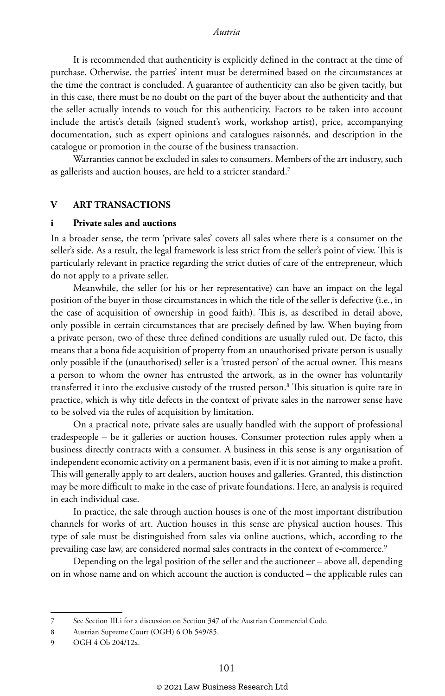It is recommended that authenticity is explicitly defined in the contract at the time of purchase. Otherwise, the parties' intent must be determined based on the circumstances at the time the contract is concluded. A guarantee of authenticity can also be given tacitly, but in this case, there must be no doubt on the part of the buyer about the authenticity and that the seller actually intends to vouch for this authenticity. Factors to be taken into account include the artist's details (signed student's work, workshop artist), price, accompanying documentation, such as expert opinions and catalogues raisonnés, and description in the catalogue or promotion in the course of the business transaction.

Warranties cannot be excluded in sales to consumers. Members of the art industry, such as gallerists and auction houses, are held to a stricter standard.<sup>7</sup>

#### **V ART TRANSACTIONS**

#### **i Private sales and auctions**

In a broader sense, the term 'private sales' covers all sales where there is a consumer on the seller's side. As a result, the legal framework is less strict from the seller's point of view. This is particularly relevant in practice regarding the strict duties of care of the entrepreneur, which do not apply to a private seller.

Meanwhile, the seller (or his or her representative) can have an impact on the legal position of the buyer in those circumstances in which the title of the seller is defective (i.e., in the case of acquisition of ownership in good faith). This is, as described in detail above, only possible in certain circumstances that are precisely defined by law. When buying from a private person, two of these three defined conditions are usually ruled out. De facto, this means that a bona fide acquisition of property from an unauthorised private person is usually only possible if the (unauthorised) seller is a 'trusted person' of the actual owner. This means a person to whom the owner has entrusted the artwork, as in the owner has voluntarily transferred it into the exclusive custody of the trusted person.8 This situation is quite rare in practice, which is why title defects in the context of private sales in the narrower sense have to be solved via the rules of acquisition by limitation.

On a practical note, private sales are usually handled with the support of professional tradespeople – be it galleries or auction houses. Consumer protection rules apply when a business directly contracts with a consumer. A business in this sense is any organisation of independent economic activity on a permanent basis, even if it is not aiming to make a profit. This will generally apply to art dealers, auction houses and galleries. Granted, this distinction may be more difficult to make in the case of private foundations. Here, an analysis is required in each individual case.

In practice, the sale through auction houses is one of the most important distribution channels for works of art. Auction houses in this sense are physical auction houses. This type of sale must be distinguished from sales via online auctions, which, according to the prevailing case law, are considered normal sales contracts in the context of e-commerce.<sup>9</sup>

Depending on the legal position of the seller and the auctioneer – above all, depending on in whose name and on which account the auction is conducted – the applicable rules can

<sup>7</sup> See Section III.i for a discussion on Section 347 of the Austrian Commercial Code.

<sup>8</sup> Austrian Supreme Court (OGH) 6 Ob 549/85.

<sup>9</sup> OGH 4 Ob 204/12x.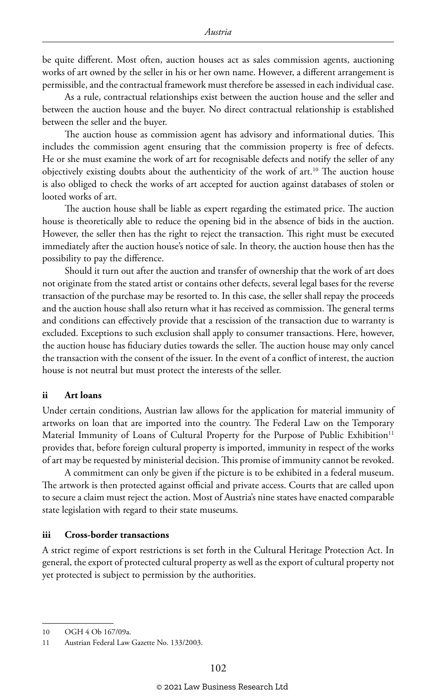be quite different. Most often, auction houses act as sales commission agents, auctioning works of art owned by the seller in his or her own name. However, a different arrangement is permissible, and the contractual framework must therefore be assessed in each individual case.

As a rule, contractual relationships exist between the auction house and the seller and between the auction house and the buyer. No direct contractual relationship is established between the seller and the buyer.

The auction house as commission agent has advisory and informational duties. This includes the commission agent ensuring that the commission property is free of defects. He or she must examine the work of art for recognisable defects and notify the seller of any objectively existing doubts about the authenticity of the work of art.10 The auction house is also obliged to check the works of art accepted for auction against databases of stolen or looted works of art.

The auction house shall be liable as expert regarding the estimated price. The auction house is theoretically able to reduce the opening bid in the absence of bids in the auction. However, the seller then has the right to reject the transaction. This right must be executed immediately after the auction house's notice of sale. In theory, the auction house then has the possibility to pay the difference.

Should it turn out after the auction and transfer of ownership that the work of art does not originate from the stated artist or contains other defects, several legal bases for the reverse transaction of the purchase may be resorted to. In this case, the seller shall repay the proceeds and the auction house shall also return what it has received as commission. The general terms and conditions can effectively provide that a rescission of the transaction due to warranty is excluded. Exceptions to such exclusion shall apply to consumer transactions. Here, however, the auction house has fiduciary duties towards the seller. The auction house may only cancel the transaction with the consent of the issuer. In the event of a conflict of interest, the auction house is not neutral but must protect the interests of the seller.

#### **ii Art loans**

Under certain conditions, Austrian law allows for the application for material immunity of artworks on loan that are imported into the country. The Federal Law on the Temporary Material Immunity of Loans of Cultural Property for the Purpose of Public Exhibition<sup>11</sup> provides that, before foreign cultural property is imported, immunity in respect of the works of art may be requested by ministerial decision. This promise of immunity cannot be revoked.

A commitment can only be given if the picture is to be exhibited in a federal museum. The artwork is then protected against official and private access. Courts that are called upon to secure a claim must reject the action. Most of Austria's nine states have enacted comparable state legislation with regard to their state museums.

#### **iii Cross-border transactions**

A strict regime of export restrictions is set forth in the Cultural Heritage Protection Act. In general, the export of protected cultural property as well as the export of cultural property not yet protected is subject to permission by the authorities.

<sup>10</sup> OGH 4 Ob 167/09a.

<sup>11</sup> Austrian Federal Law Gazette No. 133/2003.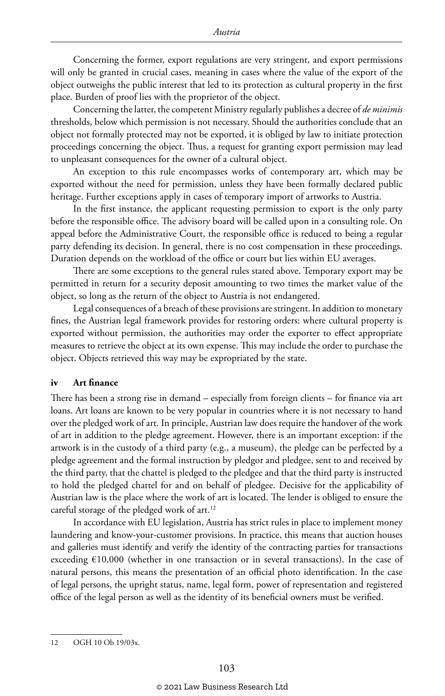Concerning the former, export regulations are very stringent, and export permissions will only be granted in crucial cases, meaning in cases where the value of the export of the object outweighs the public interest that led to its protection as cultural property in the first place. Burden of proof lies with the proprietor of the object.

Concerning the latter, the competent Ministry regularly publishes a decree of *de minimis* thresholds, below which permission is not necessary. Should the authorities conclude that an object not formally protected may not be exported, it is obliged by law to initiate protection proceedings concerning the object. Thus, a request for granting export permission may lead to unpleasant consequences for the owner of a cultural object.

An exception to this rule encompasses works of contemporary art, which may be exported without the need for permission, unless they have been formally declared public heritage. Further exceptions apply in cases of temporary import of artworks to Austria.

In the first instance, the applicant requesting permission to export is the only party before the responsible office. The advisory board will be called upon in a consulting role. On appeal before the Administrative Court, the responsible office is reduced to being a regular party defending its decision. In general, there is no cost compensation in these proceedings. Duration depends on the workload of the office or court but lies within EU averages.

There are some exceptions to the general rules stated above. Temporary export may be permitted in return for a security deposit amounting to two times the market value of the object, so long as the return of the object to Austria is not endangered.

Legal consequences of a breach of these provisions are stringent. In addition to monetary fines, the Austrian legal framework provides for restoring orders: where cultural property is exported without permission, the authorities may order the exporter to effect appropriate measures to retrieve the object at its own expense. This may include the order to purchase the object. Objects retrieved this way may be expropriated by the state.

#### **iv Art finance**

There has been a strong rise in demand – especially from foreign clients – for finance via art loans. Art loans are known to be very popular in countries where it is not necessary to hand over the pledged work of art. In principle, Austrian law does require the handover of the work of art in addition to the pledge agreement. However, there is an important exception: if the artwork is in the custody of a third party (e.g., a museum), the pledge can be perfected by a pledge agreement and the formal instruction by pledgor and pledgee, sent to and received by the third party, that the chattel is pledged to the pledgee and that the third party is instructed to hold the pledged chattel for and on behalf of pledgee. Decisive for the applicability of Austrian law is the place where the work of art is located. The lender is obliged to ensure the careful storage of the pledged work of art.12

In accordance with EU legislation, Austria has strict rules in place to implement money laundering and know-your-customer provisions. In practice, this means that auction houses and galleries must identify and verify the identity of the contracting parties for transactions exceeding €10,000 (whether in one transaction or in several transactions). In the case of natural persons, this means the presentation of an official photo identification. In the case of legal persons, the upright status, name, legal form, power of representation and registered office of the legal person as well as the identity of its beneficial owners must be verified.

<sup>12</sup> OGH 10 Ob 19/03x.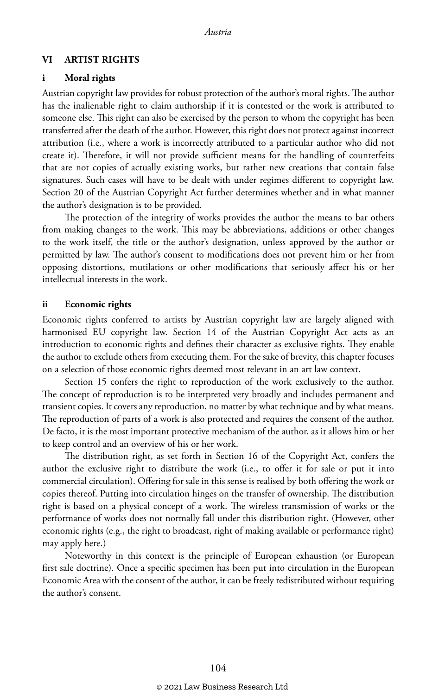#### **VI ARTIST RIGHTS**

#### **i Moral rights**

Austrian copyright law provides for robust protection of the author's moral rights. The author has the inalienable right to claim authorship if it is contested or the work is attributed to someone else. This right can also be exercised by the person to whom the copyright has been transferred after the death of the author. However, this right does not protect against incorrect attribution (i.e., where a work is incorrectly attributed to a particular author who did not create it). Therefore, it will not provide sufficient means for the handling of counterfeits that are not copies of actually existing works, but rather new creations that contain false signatures. Such cases will have to be dealt with under regimes different to copyright law. Section 20 of the Austrian Copyright Act further determines whether and in what manner the author's designation is to be provided.

The protection of the integrity of works provides the author the means to bar others from making changes to the work. This may be abbreviations, additions or other changes to the work itself, the title or the author's designation, unless approved by the author or permitted by law. The author's consent to modifications does not prevent him or her from opposing distortions, mutilations or other modifications that seriously affect his or her intellectual interests in the work.

#### **ii Economic rights**

Economic rights conferred to artists by Austrian copyright law are largely aligned with harmonised EU copyright law. Section 14 of the Austrian Copyright Act acts as an introduction to economic rights and defines their character as exclusive rights. They enable the author to exclude others from executing them. For the sake of brevity, this chapter focuses on a selection of those economic rights deemed most relevant in an art law context.

Section 15 confers the right to reproduction of the work exclusively to the author. The concept of reproduction is to be interpreted very broadly and includes permanent and transient copies. It covers any reproduction, no matter by what technique and by what means. The reproduction of parts of a work is also protected and requires the consent of the author. De facto, it is the most important protective mechanism of the author, as it allows him or her to keep control and an overview of his or her work.

The distribution right, as set forth in Section 16 of the Copyright Act, confers the author the exclusive right to distribute the work (i.e., to offer it for sale or put it into commercial circulation). Offering for sale in this sense is realised by both offering the work or copies thereof. Putting into circulation hinges on the transfer of ownership. The distribution right is based on a physical concept of a work. The wireless transmission of works or the performance of works does not normally fall under this distribution right. (However, other economic rights (e.g., the right to broadcast, right of making available or performance right) may apply here.)

Noteworthy in this context is the principle of European exhaustion (or European first sale doctrine). Once a specific specimen has been put into circulation in the European Economic Area with the consent of the author, it can be freely redistributed without requiring the author's consent.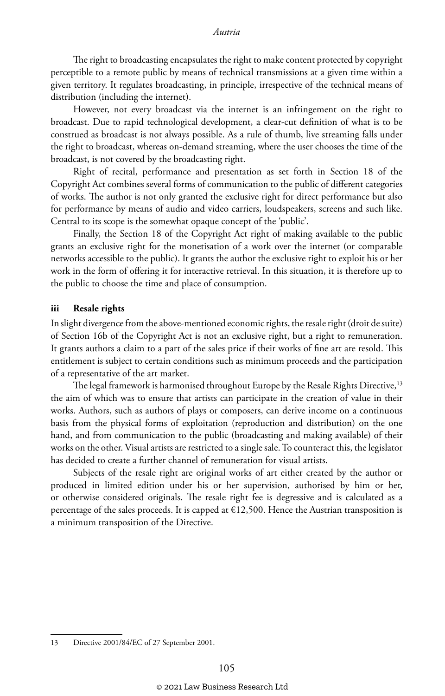The right to broadcasting encapsulates the right to make content protected by copyright perceptible to a remote public by means of technical transmissions at a given time within a given territory. It regulates broadcasting, in principle, irrespective of the technical means of distribution (including the internet).

However, not every broadcast via the internet is an infringement on the right to broadcast. Due to rapid technological development, a clear-cut definition of what is to be construed as broadcast is not always possible. As a rule of thumb, live streaming falls under the right to broadcast, whereas on-demand streaming, where the user chooses the time of the broadcast, is not covered by the broadcasting right.

Right of recital, performance and presentation as set forth in Section 18 of the Copyright Act combines several forms of communication to the public of different categories of works. The author is not only granted the exclusive right for direct performance but also for performance by means of audio and video carriers, loudspeakers, screens and such like. Central to its scope is the somewhat opaque concept of the 'public'.

Finally, the Section 18 of the Copyright Act right of making available to the public grants an exclusive right for the monetisation of a work over the internet (or comparable networks accessible to the public). It grants the author the exclusive right to exploit his or her work in the form of offering it for interactive retrieval. In this situation, it is therefore up to the public to choose the time and place of consumption.

#### **iii Resale rights**

In slight divergence from the above-mentioned economic rights, the resale right (droit de suite) of Section 16b of the Copyright Act is not an exclusive right, but a right to remuneration. It grants authors a claim to a part of the sales price if their works of fine art are resold. This entitlement is subject to certain conditions such as minimum proceeds and the participation of a representative of the art market.

The legal framework is harmonised throughout Europe by the Resale Rights Directive,<sup>13</sup> the aim of which was to ensure that artists can participate in the creation of value in their works. Authors, such as authors of plays or composers, can derive income on a continuous basis from the physical forms of exploitation (reproduction and distribution) on the one hand, and from communication to the public (broadcasting and making available) of their works on the other. Visual artists are restricted to a single sale. To counteract this, the legislator has decided to create a further channel of remuneration for visual artists.

Subjects of the resale right are original works of art either created by the author or produced in limited edition under his or her supervision, authorised by him or her, or otherwise considered originals. The resale right fee is degressive and is calculated as a percentage of the sales proceeds. It is capped at  $£12,500$ . Hence the Austrian transposition is a minimum transposition of the Directive.

13 Directive 2001/84/EC of 27 September 2001.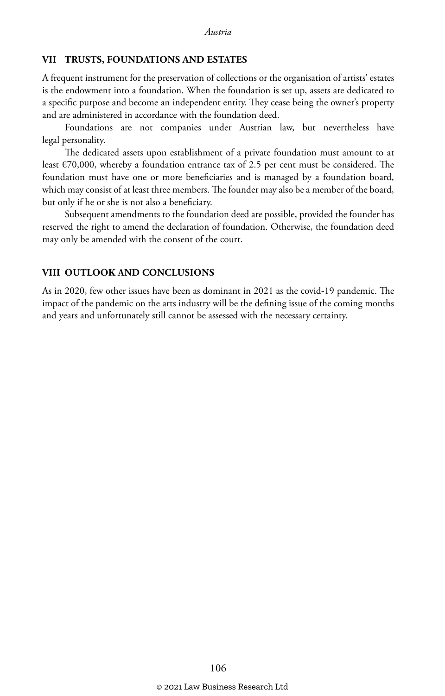#### **VII TRUSTS, FOUNDATIONS AND ESTATES**

A frequent instrument for the preservation of collections or the organisation of artists' estates is the endowment into a foundation. When the foundation is set up, assets are dedicated to a specific purpose and become an independent entity. They cease being the owner's property and are administered in accordance with the foundation deed.

Foundations are not companies under Austrian law, but nevertheless have legal personality.

The dedicated assets upon establishment of a private foundation must amount to at least €70,000, whereby a foundation entrance tax of 2.5 per cent must be considered. The foundation must have one or more beneficiaries and is managed by a foundation board, which may consist of at least three members. The founder may also be a member of the board, but only if he or she is not also a beneficiary.

Subsequent amendments to the foundation deed are possible, provided the founder has reserved the right to amend the declaration of foundation. Otherwise, the foundation deed may only be amended with the consent of the court.

#### **VIII OUTLOOK AND CONCLUSIONS**

As in 2020, few other issues have been as dominant in 2021 as the covid-19 pandemic. The impact of the pandemic on the arts industry will be the defining issue of the coming months and years and unfortunately still cannot be assessed with the necessary certainty.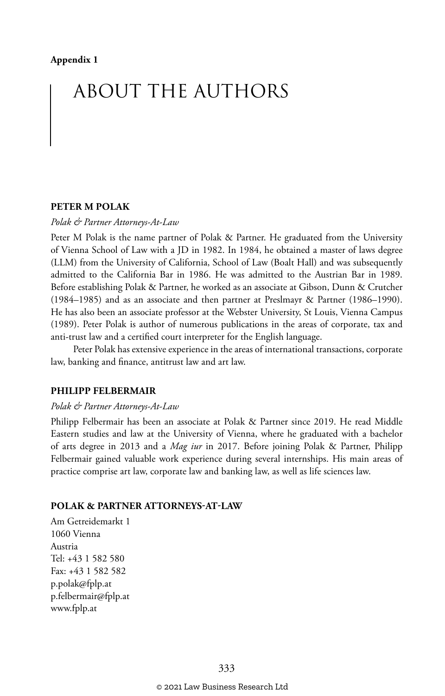## ABOUT THE AUTHORS

#### **PETER M POLAK**

*Polak & Partner Attorneys-At-Law*

Peter M Polak is the name partner of Polak & Partner. He graduated from the University of Vienna School of Law with a JD in 1982. In 1984, he obtained a master of laws degree (LLM) from the University of California, School of Law (Boalt Hall) and was subsequently admitted to the California Bar in 1986. He was admitted to the Austrian Bar in 1989. Before establishing Polak & Partner, he worked as an associate at Gibson, Dunn & Crutcher (1984–1985) and as an associate and then partner at Preslmayr & Partner (1986–1990). He has also been an associate professor at the Webster University, St Louis, Vienna Campus (1989). Peter Polak is author of numerous publications in the areas of corporate, tax and anti-trust law and a certified court interpreter for the English language.

Peter Polak has extensive experience in the areas of international transactions, corporate law, banking and finance, antitrust law and art law.

#### **PHILIPP FELBERMAIR**

#### *Polak & Partner Attorneys-At-Law*

Philipp Felbermair has been an associate at Polak & Partner since 2019. He read Middle Eastern studies and law at the University of Vienna, where he graduated with a bachelor of arts degree in 2013 and a *Mag iur* in 2017. Before joining Polak & Partner, Philipp Felbermair gained valuable work experience during several internships. His main areas of practice comprise art law, corporate law and banking law, as well as life sciences law.

#### **POLAK & PARTNER ATTORNEYS-AT-LAW**

Am Getreidemarkt 1 1060 Vienna Austria Tel: +43 1 582 580 Fax: +43 1 582 582 p.polak@fplp.at p.felbermair@fplp.at www.fplp.at